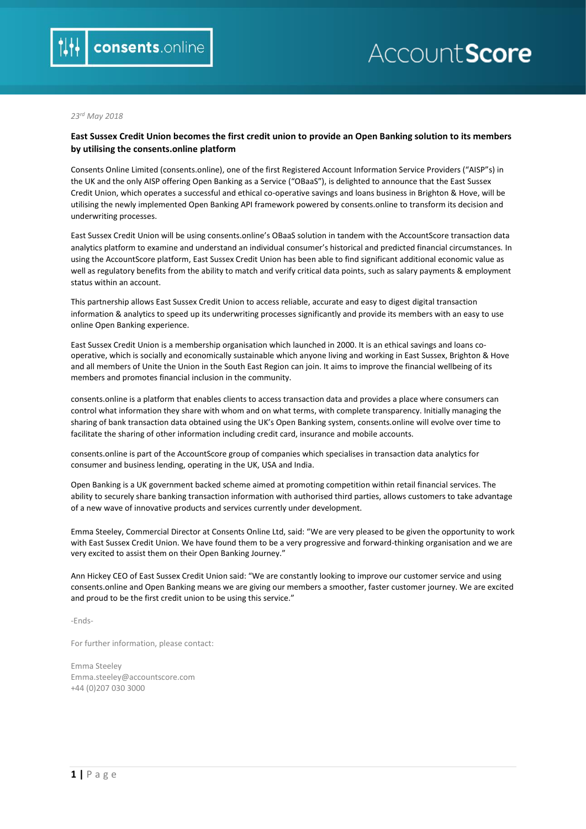# AccountScore

#### *23rd May 2018*

## **East Sussex Credit Union becomes the first credit union to provide an Open Banking solution to its members by utilising the consents.online platform**

Consents Online Limited (consents.online), one of the first Registered Account Information Service Providers ("AISP"s) in the UK and the only AISP offering Open Banking as a Service ("OBaaS"), is delighted to announce that the East Sussex Credit Union, which operates a successful and ethical co-operative savings and loans business in Brighton & Hove, will be utilising the newly implemented Open Banking API framework powered by consents.online to transform its decision and underwriting processes.

East Sussex Credit Union will be using consents.online's OBaaS solution in tandem with the AccountScore transaction data analytics platform to examine and understand an individual consumer's historical and predicted financial circumstances. In using the AccountScore platform, East Sussex Credit Union has been able to find significant additional economic value as well as regulatory benefits from the ability to match and verify critical data points, such as salary payments & employment status within an account.

This partnership allows East Sussex Credit Union to access reliable, accurate and easy to digest digital transaction information & analytics to speed up its underwriting processes significantly and provide its members with an easy to use online Open Banking experience.

East Sussex Credit Union is a membership organisation which launched in 2000. It is an ethical savings and loans cooperative, which is socially and economically sustainable which anyone living and working in East Sussex, Brighton & Hove and all members of Unite the Union in the South East Region can join. It aims to improve the financial wellbeing of its members and promotes financial inclusion in the community.

consents.online is a platform that enables clients to access transaction data and provides a place where consumers can control what information they share with whom and on what terms, with complete transparency. Initially managing the sharing of bank transaction data obtained using the UK's Open Banking system, consents.online will evolve over time to facilitate the sharing of other information including credit card, insurance and mobile accounts.

consents.online is part of the AccountScore group of companies which specialises in transaction data analytics for consumer and business lending, operating in the UK, USA and India.

Open Banking is a UK government backed scheme aimed at promoting competition within retail financial services. The ability to securely share banking transaction information with authorised third parties, allows customers to take advantage of a new wave of innovative products and services currently under development.

Emma Steeley, Commercial Director at Consents Online Ltd, said: "We are very pleased to be given the opportunity to work with East Sussex Credit Union. We have found them to be a very progressive and forward-thinking organisation and we are very excited to assist them on their Open Banking Journey."

Ann Hickey CEO of East Sussex Credit Union said: "We are constantly looking to improve our customer service and using consents.online and Open Banking means we are giving our members a smoother, faster customer journey. We are excited and proud to be the first credit union to be using this service."

-Ends-

For further information, please contact:

Emma Steeley Emma.steeley@accountscore.com +44 (0)207 030 3000